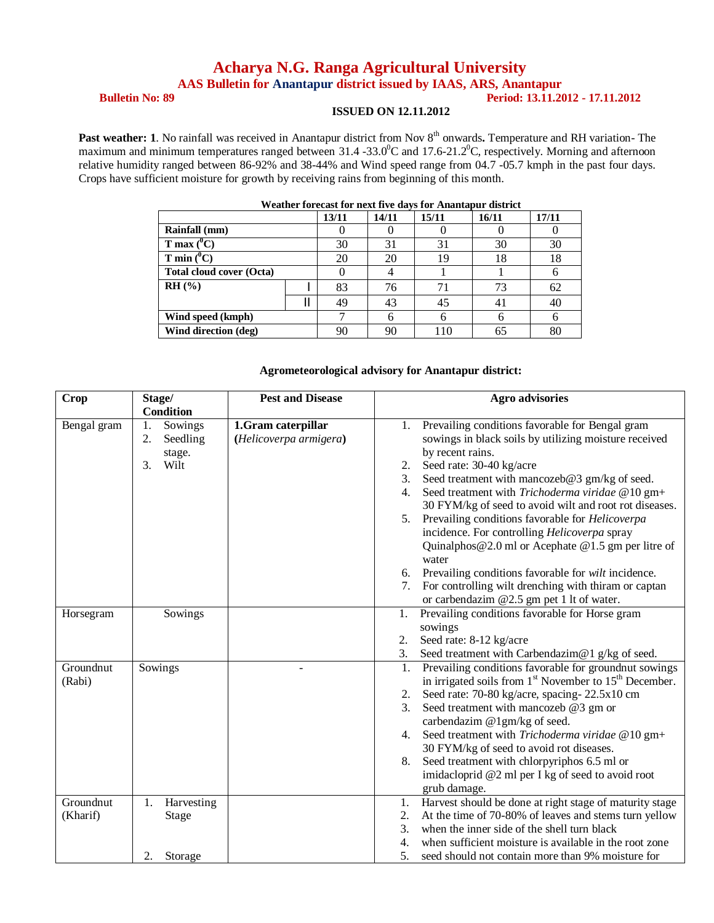# **Acharya N.G. Ranga Agricultural University**

**AAS Bulletin for Anantapur district issued by IAAS, ARS, Anantapur**

### **Bulletin No: 89 Period: 13.11.2012 - 17.11.2012**

#### **ISSUED ON 12.11.2012**

**Past weather: 1**. No rainfall was received in Anantapur district from Nov 8<sup>th</sup> onwards. Temperature and RH variation- The maximum and minimum temperatures ranged between 31.4 -33.0<sup>0</sup>C and 17.6-21.2<sup>0</sup>C, respectively. Morning and afternoon relative humidity ranged between 86-92% and 38-44% and Wind speed range from 04.7 -05.7 kmph in the past four days. Crops have sufficient moisture for growth by receiving rains from beginning of this month.

| weather forceast for heat five gavs for Ananiapur gistrict |  |       |       |       |       |       |
|------------------------------------------------------------|--|-------|-------|-------|-------|-------|
|                                                            |  | 13/11 | 14/11 | 15/11 | 16/11 | 17/11 |
| Rainfall (mm)                                              |  |       |       |       |       |       |
| T max $(^{0}C)$                                            |  | 30    | 31    | 31    | 30    | 30    |
| T min $(^0C)$                                              |  | 20    | 20    | 19    | 18    | 18    |
| <b>Total cloud cover (Octa)</b>                            |  |       |       |       |       |       |
| $RH($ %)                                                   |  | 83    | 76    | 71    | 73    | 62    |
|                                                            |  | 49    | 43    | 45    | 41    | 40    |
| Wind speed (kmph)                                          |  |       |       | h     | h     | h     |
| Wind direction (deg)                                       |  | 90    | 90    | 110   | 65    | 80    |

## **Weather forecast for next five days for Anantapur district**

#### **Agrometeorological advisory for Anantapur district:**

| <b>Crop</b>           | Stage/<br><b>Condition</b>                              | <b>Pest and Disease</b>                      | <b>Agro advisories</b>                                                                                                                                                                                                                                                                                                                                                                                                                                                                                                                                                                                                                                                                          |
|-----------------------|---------------------------------------------------------|----------------------------------------------|-------------------------------------------------------------------------------------------------------------------------------------------------------------------------------------------------------------------------------------------------------------------------------------------------------------------------------------------------------------------------------------------------------------------------------------------------------------------------------------------------------------------------------------------------------------------------------------------------------------------------------------------------------------------------------------------------|
| Bengal gram           | Sowings<br>1.<br>2.<br>Seedling<br>stage.<br>Wilt<br>3. | 1.Gram caterpillar<br>(Helicoverpa armigera) | Prevailing conditions favorable for Bengal gram<br>1.<br>sowings in black soils by utilizing moisture received<br>by recent rains.<br>2. Seed rate: 30-40 kg/acre<br>Seed treatment with mancozeb@3 gm/kg of seed.<br>3.<br>Seed treatment with Trichoderma viridae @10 gm+<br>4.<br>30 FYM/kg of seed to avoid wilt and root rot diseases.<br>Prevailing conditions favorable for Helicoverpa<br>5.<br>incidence. For controlling Helicoverpa spray<br>Quinalphos $@2.0$ ml or Acephate $@1.5$ gm per litre of<br>water<br>6. Prevailing conditions favorable for wilt incidence.<br>For controlling wilt drenching with thiram or captan<br>7.<br>or carbendazim $@2.5$ gm pet 1 lt of water. |
| Horsegram             | Sowings                                                 |                                              | Prevailing conditions favorable for Horse gram<br>1.<br>sowings<br>Seed rate: 8-12 kg/acre<br>2.<br>Seed treatment with Carbendazim@1 g/kg of seed.<br>3.                                                                                                                                                                                                                                                                                                                                                                                                                                                                                                                                       |
| Groundnut<br>(Rabi)   | Sowings                                                 |                                              | Prevailing conditions favorable for groundnut sowings<br>1.<br>in irrigated soils from 1 <sup>st</sup> November to 15 <sup>th</sup> December.<br>Seed rate: 70-80 kg/acre, spacing-22.5x10 cm<br>2.<br>Seed treatment with mancozeb @3 gm or<br>$\mathfrak{Z}$ .<br>carbendazim @1gm/kg of seed.<br>Seed treatment with Trichoderma viridae @10 gm+<br>4.<br>30 FYM/kg of seed to avoid rot diseases.<br>Seed treatment with chlorpyriphos 6.5 ml or<br>8.<br>imidacloprid @2 ml per I kg of seed to avoid root<br>grub damage.                                                                                                                                                                 |
| Groundnut<br>(Kharif) | Harvesting<br>1.<br><b>Stage</b><br>Storage<br>2.       |                                              | Harvest should be done at right stage of maturity stage<br>1.<br>At the time of 70-80% of leaves and stems turn yellow<br>2.<br>when the inner side of the shell turn black<br>3.<br>when sufficient moisture is available in the root zone<br>4.<br>5.<br>seed should not contain more than 9% moisture for                                                                                                                                                                                                                                                                                                                                                                                    |